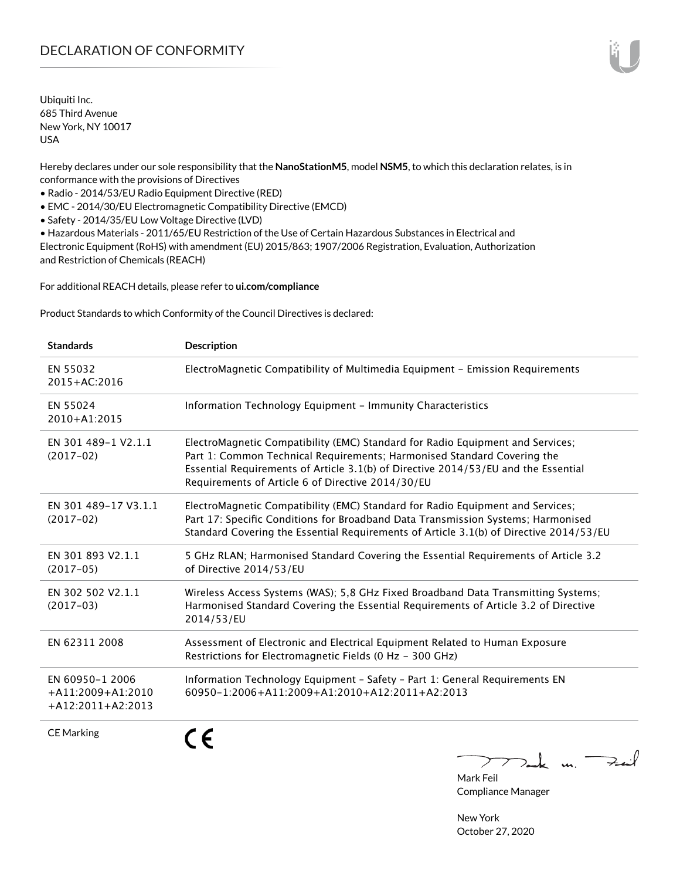Ubiquiti Inc. 685 Third Avenue New York, NY 10017 USA

Hereby declares under our sole responsibility that the **NanoStationM5**, model **NSM5**, to which this declaration relates, is in conformance with the provisions of Directives

• Radio - 2014/53/EU Radio Equipment Directive (RED)

• EMC - 2014/30/EU Electromagnetic Compatibility Directive (EMCD)

• Safety - 2014/35/EU Low Voltage Directive (LVD)

• Hazardous Materials - 2011/65/EU Restriction of the Use of Certain Hazardous Substances in Electrical and Electronic Equipment (RoHS) with amendment (EU) 2015/863; 1907/2006 Registration, Evaluation, Authorization and Restriction of Chemicals (REACH)

For additional REACH details, please refer to **[ui.com/compliance](http://ui.com/compliance )**

Product Standards to which Conformity of the Council Directives is declared:

| <b>Standards</b>                                              | <b>Description</b>                                                                                                                                                                                                                                                                                   |
|---------------------------------------------------------------|------------------------------------------------------------------------------------------------------------------------------------------------------------------------------------------------------------------------------------------------------------------------------------------------------|
| EN 55032<br>2015+AC:2016                                      | ElectroMagnetic Compatibility of Multimedia Equipment - Emission Requirements                                                                                                                                                                                                                        |
| EN 55024<br>$2010 + A1:2015$                                  | Information Technology Equipment - Immunity Characteristics                                                                                                                                                                                                                                          |
| EN 301 489-1 V2.1.1<br>$(2017-02)$                            | ElectroMagnetic Compatibility (EMC) Standard for Radio Equipment and Services;<br>Part 1: Common Technical Requirements; Harmonised Standard Covering the<br>Essential Requirements of Article 3.1(b) of Directive 2014/53/EU and the Essential<br>Requirements of Article 6 of Directive 2014/30/EU |
| EN 301 489-17 V3.1.1<br>$(2017-02)$                           | ElectroMagnetic Compatibility (EMC) Standard for Radio Equipment and Services;<br>Part 17: Specific Conditions for Broadband Data Transmission Systems; Harmonised<br>Standard Covering the Essential Requirements of Article 3.1(b) of Directive 2014/53/EU                                         |
| EN 301 893 V2.1.1<br>$(2017-05)$                              | 5 GHz RLAN; Harmonised Standard Covering the Essential Requirements of Article 3.2<br>of Directive 2014/53/EU                                                                                                                                                                                        |
| EN 302 502 V2.1.1<br>$(2017-03)$                              | Wireless Access Systems (WAS); 5,8 GHz Fixed Broadband Data Transmitting Systems;<br>Harmonised Standard Covering the Essential Requirements of Article 3.2 of Directive<br>2014/53/EU                                                                                                               |
| EN 62311 2008                                                 | Assessment of Electronic and Electrical Equipment Related to Human Exposure<br>Restrictions for Electromagnetic Fields (0 Hz - 300 GHz)                                                                                                                                                              |
| EN 60950-1 2006<br>$+A11:2009+A1:2010$<br>$+A12:2011+A2:2013$ | Information Technology Equipment - Safety - Part 1: General Requirements EN<br>60950-1:2006+A11:2009+A1:2010+A12:2011+A2:2013                                                                                                                                                                        |
| <b>CE Marking</b>                                             |                                                                                                                                                                                                                                                                                                      |

 $\nabla_{\mathbf{m}}$  k un  $\nabla_{\mathbf{m}}$ 

Mark Feil Compliance Manager

New York October 27, 2020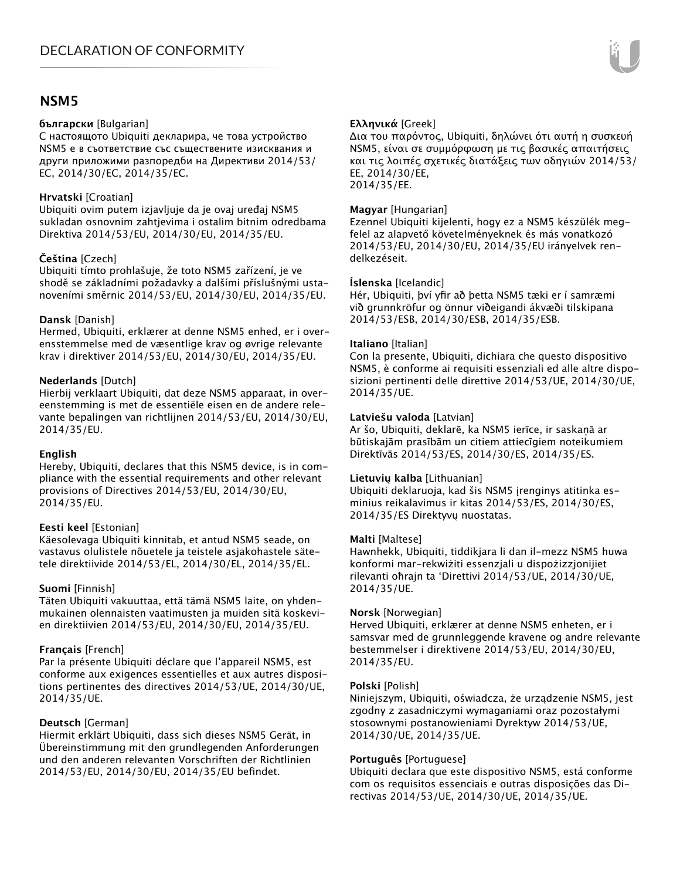# **NSM5**

### **български** [Bulgarian]

С настоящото Ubiquiti декларира, че това устройство NSM5 е в съответствие със съществените изисквания и други приложими разпоредби на Директиви 2014/53/ EC, 2014/30/ЕС, 2014/35/ЕС.

# **Hrvatski** [Croatian]

Ubiquiti ovim putem izjavljuje da je ovaj uređaj NSM5 sukladan osnovnim zahtjevima i ostalim bitnim odredbama Direktiva 2014/53/EU, 2014/30/EU, 2014/35/EU.

# **Čeština** [Czech]

Ubiquiti tímto prohlašuje, že toto NSM5 zařízení, je ve shodě se základními požadavky a dalšími příslušnými ustanoveními směrnic 2014/53/EU, 2014/30/EU, 2014/35/EU.

# **Dansk** [Danish]

Hermed, Ubiquiti, erklærer at denne NSM5 enhed, er i overensstemmelse med de væsentlige krav og øvrige relevante krav i direktiver 2014/53/EU, 2014/30/EU, 2014/35/EU.

# **Nederlands** [Dutch]

Hierbij verklaart Ubiquiti, dat deze NSM5 apparaat, in overeenstemming is met de essentiële eisen en de andere relevante bepalingen van richtlijnen 2014/53/EU, 2014/30/EU, 2014/35/EU.

# **English**

Hereby, Ubiquiti, declares that this NSM5 device, is in compliance with the essential requirements and other relevant provisions of Directives 2014/53/EU, 2014/30/EU, 2014/35/EU.

# **Eesti keel** [Estonian]

Käesolevaga Ubiquiti kinnitab, et antud NSM5 seade, on vastavus olulistele nõuetele ja teistele asjakohastele sätetele direktiivide 2014/53/EL, 2014/30/EL, 2014/35/EL.

# **Suomi** [Finnish]

Täten Ubiquiti vakuuttaa, että tämä NSM5 laite, on yhdenmukainen olennaisten vaatimusten ja muiden sitä koskevien direktiivien 2014/53/EU, 2014/30/EU, 2014/35/EU.

# **Français** [French]

Par la présente Ubiquiti déclare que l'appareil NSM5, est conforme aux exigences essentielles et aux autres dispositions pertinentes des directives 2014/53/UE, 2014/30/UE, 2014/35/UE.

# **Deutsch** [German]

Hiermit erklärt Ubiquiti, dass sich dieses NSM5 Gerät, in Übereinstimmung mit den grundlegenden Anforderungen und den anderen relevanten Vorschriften der Richtlinien 2014/53/EU, 2014/30/EU, 2014/35/EU befindet.

# **Ελληνικά** [Greek]

Δια του παρόντος, Ubiquiti, δηλώνει ότι αυτή η συσκευή NSM5, είναι σε συμμόρφωση με τις βασικές απαιτήσεις και τις λοιπές σχετικές διατάξεις των οδηγιών 2014/53/ EE, 2014/30/EE, 2014/35/EE.

# **Magyar** [Hungarian]

Ezennel Ubiquiti kijelenti, hogy ez a NSM5 készülék megfelel az alapvető követelményeknek és más vonatkozó 2014/53/EU, 2014/30/EU, 2014/35/EU irányelvek rendelkezéseit.

# **Íslenska** [Icelandic]

Hér, Ubiquiti, því yfir að þetta NSM5 tæki er í samræmi við grunnkröfur og önnur viðeigandi ákvæði tilskipana 2014/53/ESB, 2014/30/ESB, 2014/35/ESB.

## **Italiano** [Italian]

Con la presente, Ubiquiti, dichiara che questo dispositivo NSM5, è conforme ai requisiti essenziali ed alle altre disposizioni pertinenti delle direttive 2014/53/UE, 2014/30/UE, 2014/35/UE.

## **Latviešu valoda** [Latvian]

Ar šo, Ubiquiti, deklarē, ka NSM5 ierīce, ir saskaņā ar būtiskajām prasībām un citiem attiecīgiem noteikumiem Direktīvās 2014/53/ES, 2014/30/ES, 2014/35/ES.

# **Lietuvių kalba** [Lithuanian]

Ubiquiti deklaruoja, kad šis NSM5 įrenginys atitinka esminius reikalavimus ir kitas 2014/53/ES, 2014/30/ES, 2014/35/ES Direktyvų nuostatas.

#### **Malti** [Maltese]

Hawnhekk, Ubiquiti, tiddikjara li dan il-mezz NSM5 huwa konformi mar-rekwiżiti essenzjali u dispożizzjonijiet rilevanti oħrajn ta 'Direttivi 2014/53/UE, 2014/30/UE, 2014/35/UE.

#### **Norsk** [Norwegian]

Herved Ubiquiti, erklærer at denne NSM5 enheten, er i samsvar med de grunnleggende kravene og andre relevante bestemmelser i direktivene 2014/53/EU, 2014/30/EU, 2014/35/EU.

#### **Polski** [Polish]

Niniejszym, Ubiquiti, oświadcza, że urządzenie NSM5, jest zgodny z zasadniczymi wymaganiami oraz pozostałymi stosownymi postanowieniami Dyrektyw 2014/53/UE, 2014/30/UE, 2014/35/UE.

# **Português** [Portuguese]

Ubiquiti declara que este dispositivo NSM5, está conforme com os requisitos essenciais e outras disposições das Directivas 2014/53/UE, 2014/30/UE, 2014/35/UE.